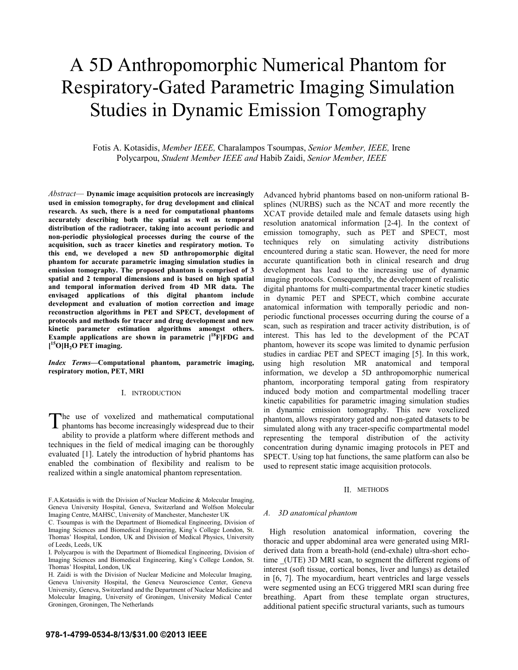# A 5D Anthropomorphic Numerical Phantom for Respiratory-Gated Parametric Imaging Simulation Studies in Dynamic Emission Tomography

Fotis A. Kotasidis, *Member IEEE,* Charalampos Tsoumpas, *Senior Member, IEEE,* Irene Polycarpou, *Student Member IEEE and* Habib Zaidi, *Senior Member, IEEE*

*Abstract*— **Dynamic image acquisition protocols are increasingly used in emission tomography, for drug development and clinical research. As such, there is a need for computational phantoms accurately describing both the spatial as well as temporal distribution of the radiotracer, taking into account periodic and non-periodic physiological processes during the course of the acquisition, such as tracer kinetics and respiratory motion. To this end, we developed a new 5D anthropomorphic digital phantom for accurate parametric imaging simulation studies in emission tomography. The proposed phantom is comprised of 3 spatial and 2 temporal dimensions and is based on high spatial and temporal information derived from 4D MR data. The envisaged applications of this digital phantom include development and evaluation of motion correction and image reconstruction algorithms in PET and SPECT, development of protocols and methods for tracer and drug development and new kinetic parameter estimation algorithms amongst others.**  Example applications are shown in parametric  $[18\bar{F}]FDG$  and **[ 15O]H2O PET imaging.** 

*Index Terms***—Computational phantom, parametric imaging, respiratory motion, PET, MRI** 

## I. INTRODUCTION

he use of voxelized and mathematical computational The use of voxelized and mathematical computational phantoms has become increasingly widespread due to their ability to provide a platform where different methods and techniques in the field of medical imaging can be thoroughly evaluated [1]. Lately the introduction of hybrid phantoms has enabled the combination of flexibility and realism to be realized within a single anatomical phantom representation.

Advanced hybrid phantoms based on non-uniform rational Bsplines (NURBS) such as the NCAT and more recently the XCAT provide detailed male and female datasets using high resolution anatomical information [2-4]. In the context of emission tomography, such as PET and SPECT, most techniques rely on simulating activity distributions encountered during a static scan. However, the need for more accurate quantification both in clinical research and drug development has lead to the increasing use of dynamic imaging protocols. Consequently, the development of realistic digital phantoms for multi-compartmental tracer kinetic studies in dynamic PET and SPECT, which combine accurate anatomical information with temporally periodic and nonperiodic functional processes occurring during the course of a scan, such as respiration and tracer activity distribution, is of interest. This has led to the development of the PCAT phantom, however its scope was limited to dynamic perfusion studies in cardiac PET and SPECT imaging [5]. In this work, using high resolution MR anatomical and temporal information, we develop a 5D anthropomorphic numerical phantom, incorporating temporal gating from respiratory induced body motion and compartmental modelling tracer kinetic capabilities for parametric imaging simulation studies in dynamic emission tomography. This new voxelized phantom, allows respiratory gated and non-gated datasets to be simulated along with any tracer-specific compartmental model representing the temporal distribution of the activity concentration during dynamic imaging protocols in PET and SPECT. Using top hat functions, the same platform can also be used to represent static image acquisition protocols.

## II. METHODS

#### *A. 3D anatomical phantom*

 High resolution anatomical information, covering the thoracic and upper abdominal area were generated using MRIderived data from a breath-hold (end-exhale) ultra-short echotime (UTE) 3D MRI scan, to segment the different regions of interest (soft tissue, cortical bones, liver and lungs) as detailed in [6, 7]. The myocardium, heart ventricles and large vessels were segmented using an ECG triggered MRI scan during free breathing. Apart from these template organ structures, additional patient specific structural variants, such as tumours

F.A.Kotasidis is with the Division of Nuclear Medicine & Molecular Imaging, Geneva University Hospital, Geneva, Switzerland and Wolfson Molecular Imaging Centre, MAHSC, University of Manchester, Manchester UK

C. Tsoumpas is with the Department of Biomedical Engineering, Division of Imaging Sciences and Biomedical Engineering, King's College London, St. Thomas' Hospital, London, UK and Division of Medical Physics, University of Leeds, Leeds, UK

I. Polycarpou is with the Department of Biomedical Engineering, Division of Imaging Sciences and Biomedical Engineering, King's College London, St. Thomas' Hospital, London, UK

H. Zaidi is with the Division of Nuclear Medicine and Molecular Imaging, Geneva University Hospital, the Geneva Neuroscience Center, Geneva University, Geneva, Switzerland and the Department of Nuclear Medicine and Molecular Imaging, University of Groningen, University Medical Center Groningen, Groningen, The Netherlands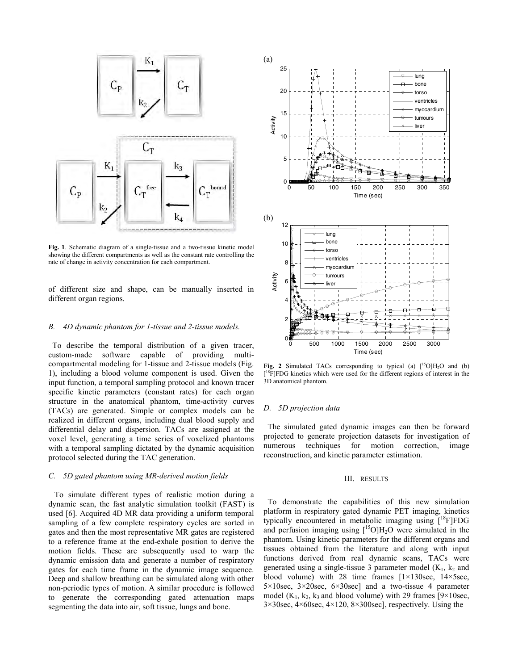

**Fig. 1**. Schematic diagram of a single-tissue and a two-tissue kinetic model showing the different compartments as well as the constant rate controlling the rate of change in activity concentration for each compartment.

of different size and shape, can be manually inserted in different organ regions.

# *B. 4D dynamic phantom for 1-tissue and 2-tissue models.*

 To describe the temporal distribution of a given tracer, custom-made software capable of providing multicompartmental modeling for 1-tissue and 2-tissue models (Fig. 1), including a blood volume component is used. Given the input function, a temporal sampling protocol and known tracer specific kinetic parameters (constant rates) for each organ structure in the anatomical phantom, time-activity curves (TACs) are generated. Simple or complex models can be realized in different organs, including dual blood supply and differential delay and dispersion. TACs are assigned at the voxel level, generating a time series of voxelized phantoms with a temporal sampling dictated by the dynamic acquisition protocol selected during the TAC generation.

## *C. 5D gated phantom using MR-derived motion fields*

 To simulate different types of realistic motion during a dynamic scan, the fast analytic simulation toolkit (FAST) is used [6]. Acquired 4D MR data providing a uniform temporal sampling of a few complete respiratory cycles are sorted in gates and then the most representative MR gates are registered to a reference frame at the end-exhale position to derive the motion fields. These are subsequently used to warp the dynamic emission data and generate a number of respiratory gates for each time frame in the dynamic image sequence. Deep and shallow breathing can be simulated along with other non-periodic types of motion. A similar procedure is followed to generate the corresponding gated attenuation maps segmenting the data into air, soft tissue, lungs and bone.



**Fig. 2** Simulated TACs corresponding to typical (a)  $\binom{15}{14}O$  and (b) <sup>[18</sup>F]FDG kinetics which were used for the different regions of interest in the 3D anatomical phantom.

## *D. 5D projection data*

 The simulated gated dynamic images can then be forward projected to generate projection datasets for investigation of numerous techniques for motion correction, image reconstruction, and kinetic parameter estimation.

## III. RESULTS

 To demonstrate the capabilities of this new simulation platform in respiratory gated dynamic PET imaging, kinetics typically encountered in metabolic imaging using  $[18F]FDG$ and perfusion imaging using  $[{}^{15}O]H_2O$  were simulated in the phantom. Using kinetic parameters for the different organs and tissues obtained from the literature and along with input functions derived from real dynamic scans, TACs were generated using a single-tissue 3 parameter model  $(K_1, k_2)$  and blood volume) with 28 time frames [1×130sec, 14×5sec,  $5 \times 10$ sec,  $3 \times 20$ sec,  $6 \times 30$ sec] and a two-tissue 4 parameter model ( $K_1, k_2, k_3$  and blood volume) with 29 frames [ $9 \times 10$ sec, 3×30sec, 4×60sec, 4×120, 8×300sec], respectively. Using the